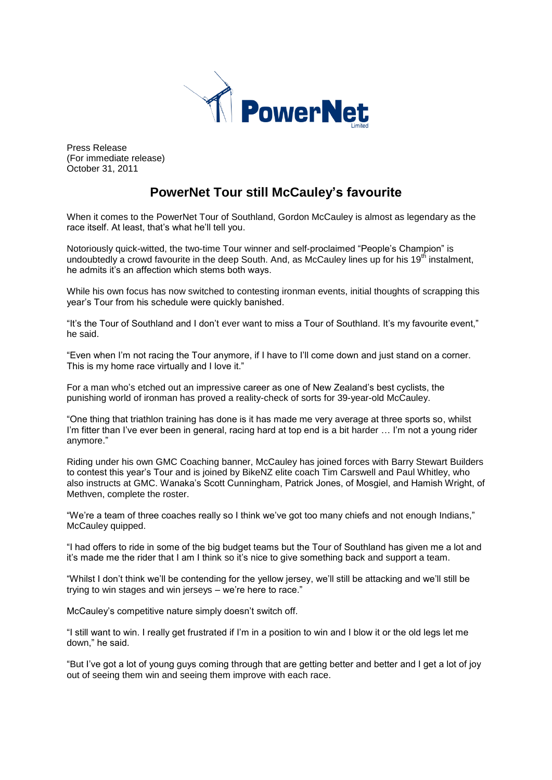

Press Release (For immediate release) October 31, 2011

## **PowerNet Tour still McCauley's favourite**

When it comes to the PowerNet Tour of Southland, Gordon McCauley is almost as legendary as the race itself. At least, that's what he'll tell you.

Notoriously quick-witted, the two-time Tour winner and self-proclaimed "People's Champion" is undoubtedly a crowd favourite in the deep South. And, as McCauley lines up for his 19<sup>th</sup> instalment, he admits it's an affection which stems both ways.

While his own focus has now switched to contesting ironman events, initial thoughts of scrapping this year's Tour from his schedule were quickly banished.

"It's the Tour of Southland and I don't ever want to miss a Tour of Southland. It's my favourite event," he said.

"Even when I'm not racing the Tour anymore, if I have to I'll come down and just stand on a corner. This is my home race virtually and I love it."

For a man who's etched out an impressive career as one of New Zealand's best cyclists, the punishing world of ironman has proved a reality-check of sorts for 39-year-old McCauley.

"One thing that triathlon training has done is it has made me very average at three sports so, whilst I'm fitter than I've ever been in general, racing hard at top end is a bit harder ... I'm not a young rider anymore."

Riding under his own GMC Coaching banner, McCauley has joined forces with Barry Stewart Builders to contest this year's Tour and is joined by BikeNZ elite coach Tim Carswell and Paul Whitley, who also instructs at GMC. Wanaka's Scott Cunningham, Patrick Jones, of Mosgiel, and Hamish Wright, of Methven, complete the roster.

"We're a team of three coaches really so I think we've got too many chiefs and not enough Indians," McCauley quipped.

"I had offers to ride in some of the big budget teams but the Tour of Southland has given me a lot and it's made me the rider that I am I think so it's nice to give something back and support a team.

"Whilst I don't think we'll be contending for the yellow jersey, we'll still be attacking and we'll still be trying to win stages and win jerseys – we're here to race."

McCauley's competitive nature simply doesn't switch off.

"I still want to win. I really get frustrated if I'm in a position to win and I blow it or the old legs let me down," he said.

"But I've got a lot of young guys coming through that are getting better and better and I get a lot of joy out of seeing them win and seeing them improve with each race.